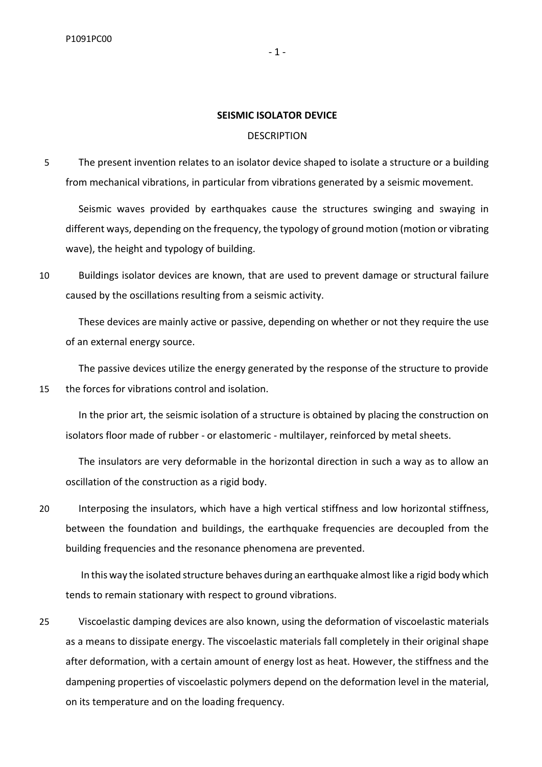### **SEISMIC ISOLATOR DEVICE**

### **DESCRIPTION**

5 The present invention relates to an isolator device shaped to isolate a structure or a building from mechanical vibrations, in particular from vibrations generated by a seismic movement.

Seismic waves provided by earthquakes cause the structures swinging and swaying in different ways, depending on the frequency, the typology of ground motion (motion or vibrating wave), the height and typology of building.

10 Buildings isolator devices are known, that are used to prevent damage or structural failure caused by the oscillations resulting from a seismic activity.

These devices are mainly active or passive, depending on whether or not they require the use of an external energy source.

The passive devices utilize the energy generated by the response of the structure to provide 15 the forces for vibrations control and isolation.

In the prior art, the seismic isolation of a structure is obtained by placing the construction on isolators floor made of rubber - or elastomeric - multilayer, reinforced by metal sheets.

The insulators are very deformable in the horizontal direction in such a way as to allow an oscillation of the construction as a rigid body.

20 Interposing the insulators, which have a high vertical stiffness and low horizontal stiffness, between the foundation and buildings, the earthquake frequencies are decoupled from the building frequencies and the resonance phenomena are prevented.

In this way the isolated structure behaves during an earthquake almost like a rigid body which tends to remain stationary with respect to ground vibrations.

25 Viscoelastic damping devices are also known, using the deformation of viscoelastic materials as a means to dissipate energy. The viscoelastic materials fall completely in their original shape after deformation, with a certain amount of energy lost as heat. However, the stiffness and the dampening properties of viscoelastic polymers depend on the deformation level in the material, on its temperature and on the loading frequency.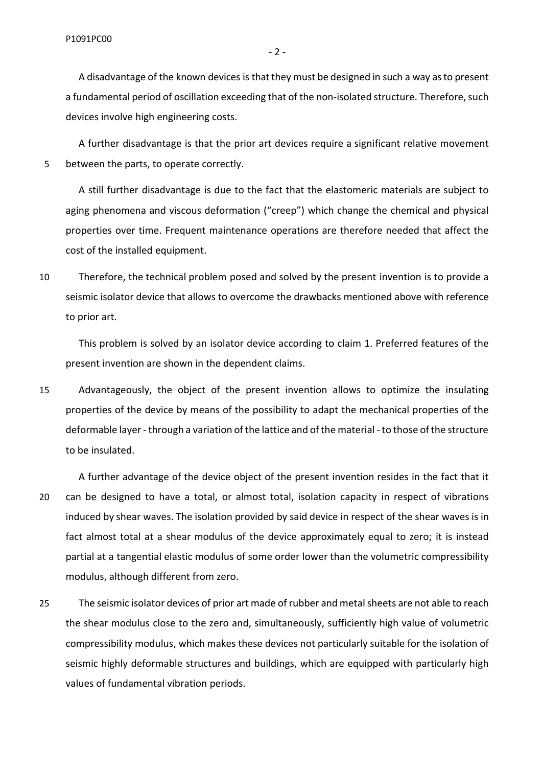- 2 -

A disadvantage of the known devices is that they must be designed in such a way as to present a fundamental period of oscillation exceeding that of the non-isolated structure. Therefore, such devices involve high engineering costs.

A further disadvantage is that the prior art devices require a significant relative movement 5 between the parts, to operate correctly.

A still further disadvantage is due to the fact that the elastomeric materials are subject to aging phenomena and viscous deformation ("creep") which change the chemical and physical properties over time. Frequent maintenance operations are therefore needed that affect the cost of the installed equipment.

10 Therefore, the technical problem posed and solved by the present invention is to provide a seismic isolator device that allows to overcome the drawbacks mentioned above with reference to prior art.

This problem is solved by an isolator device according to claim 1. Preferred features of the present invention are shown in the dependent claims.

15 Advantageously, the object of the present invention allows to optimize the insulating properties of the device by means of the possibility to adapt the mechanical properties of the deformable layer - through a variation of the lattice and of the material -to those of the structure to be insulated.

A further advantage of the device object of the present invention resides in the fact that it 20 can be designed to have a total, or almost total, isolation capacity in respect of vibrations induced by shear waves. The isolation provided by said device in respect of the shear waves is in fact almost total at a shear modulus of the device approximately equal to zero; it is instead partial at a tangential elastic modulus of some order lower than the volumetric compressibility modulus, although different from zero.

25 The seismic isolator devices of prior art made of rubber and metal sheets are not able to reach the shear modulus close to the zero and, simultaneously, sufficiently high value of volumetric compressibility modulus, which makes these devices not particularly suitable for the isolation of seismic highly deformable structures and buildings, which are equipped with particularly high values of fundamental vibration periods.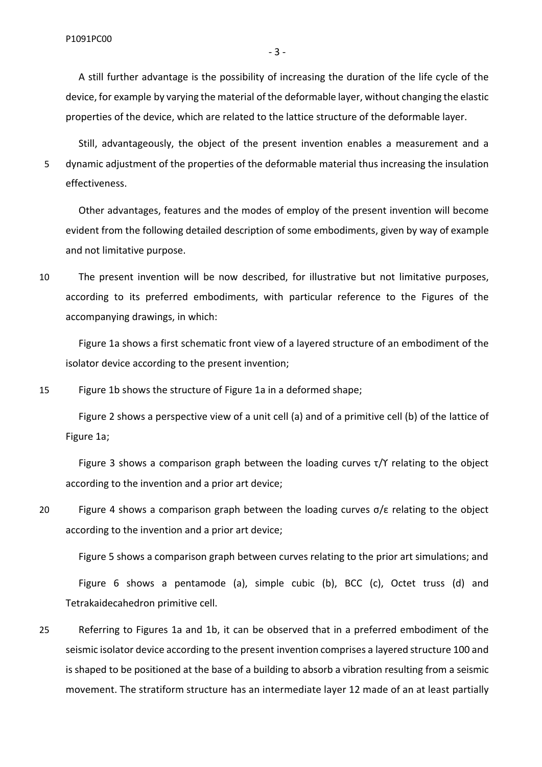A still further advantage is the possibility of increasing the duration of the life cycle of the device, for example by varying the material of the deformable layer, without changing the elastic properties of the device, which are related to the lattice structure of the deformable layer.

Still, advantageously, the object of the present invention enables a measurement and a 5 dynamic adjustment of the properties of the deformable material thus increasing the insulation effectiveness.

Other advantages, features and the modes of employ of the present invention will become evident from the following detailed description of some embodiments, given by way of example and not limitative purpose.

10 The present invention will be now described, for illustrative but not limitative purposes, according to its preferred embodiments, with particular reference to the Figures of the accompanying drawings, in which:

Figure 1a shows a first schematic front view of a layered structure of an embodiment of the isolator device according to the present invention;

15 Figure 1b shows the structure of Figure 1a in a deformed shape;

Figure 2 shows a perspective view of a unit cell (a) and of a primitive cell (b) of the lattice of Figure 1a;

Figure 3 shows a comparison graph between the loading curves  $\tau/Y$  relating to the object according to the invention and a prior art device;

20 Figure 4 shows a comparison graph between the loading curves  $\sigma/\varepsilon$  relating to the object according to the invention and a prior art device;

Figure 5 shows a comparison graph between curves relating to the prior art simulations; and

Figure 6 shows a pentamode (a), simple cubic (b), BCC (c), Octet truss (d) and Tetrakaidecahedron primitive cell.

25 Referring to Figures 1a and 1b, it can be observed that in a preferred embodiment of the seismic isolator device according to the present invention comprises a layered structure 100 and is shaped to be positioned at the base of a building to absorb a vibration resulting from a seismic movement. The stratiform structure has an intermediate layer 12 made of an at least partially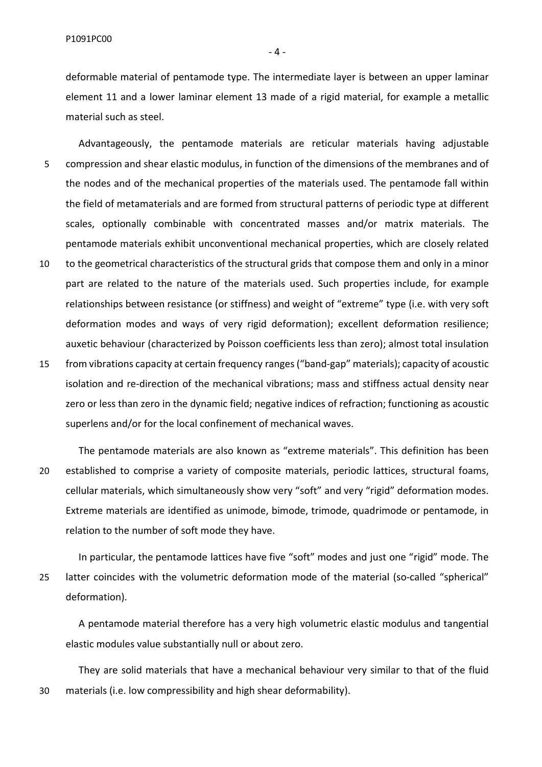deformable material of pentamode type. The intermediate layer is between an upper laminar element 11 and a lower laminar element 13 made of a rigid material, for example a metallic material such as steel.

Advantageously, the pentamode materials are reticular materials having adjustable 5 compression and shear elastic modulus, in function of the dimensions of the membranes and of the nodes and of the mechanical properties of the materials used. The pentamode fall within the field of metamaterials and are formed from structural patterns of periodic type at different scales, optionally combinable with concentrated masses and/or matrix materials. The pentamode materials exhibit unconventional mechanical properties, which are closely related

- 10 to the geometrical characteristics of the structural grids that compose them and only in a minor part are related to the nature of the materials used. Such properties include, for example relationships between resistance (or stiffness) and weight of "extreme" type (i.e. with very soft deformation modes and ways of very rigid deformation); excellent deformation resilience; auxetic behaviour (characterized by Poisson coefficients less than zero); almost total insulation
- 15 from vibrations capacity at certain frequency ranges ("band-gap" materials); capacity of acoustic isolation and re-direction of the mechanical vibrations; mass and stiffness actual density near zero or less than zero in the dynamic field; negative indices of refraction; functioning as acoustic superlens and/or for the local confinement of mechanical waves.

The pentamode materials are also known as "extreme materials". This definition has been 20 established to comprise a variety of composite materials, periodic lattices, structural foams, cellular materials, which simultaneously show very "soft" and very "rigid" deformation modes. Extreme materials are identified as unimode, bimode, trimode, quadrimode or pentamode, in relation to the number of soft mode they have.

In particular, the pentamode lattices have five "soft" modes and just one "rigid" mode. The 25 latter coincides with the volumetric deformation mode of the material (so-called "spherical" deformation).

A pentamode material therefore has a very high volumetric elastic modulus and tangential elastic modules value substantially null or about zero.

They are solid materials that have a mechanical behaviour very similar to that of the fluid 30 materials (i.e. low compressibility and high shear deformability).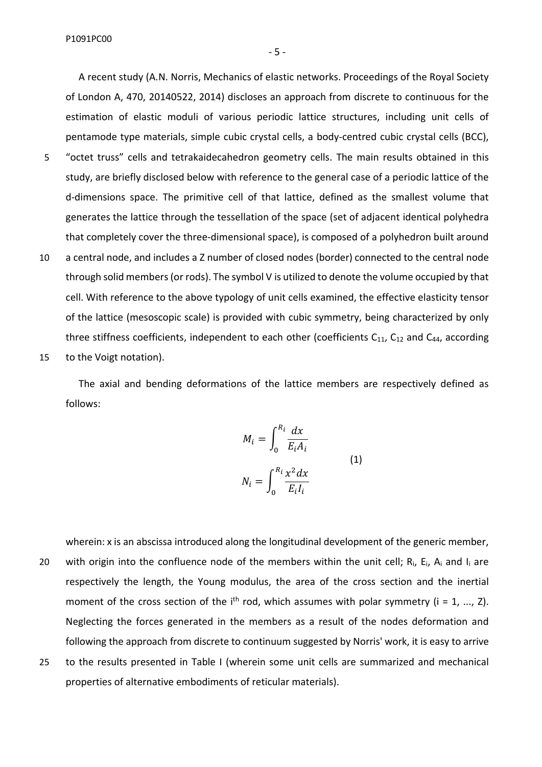A recent study (A.N. Norris, Mechanics of elastic networks. Proceedings of the Royal Society of London A, 470, 20140522, 2014) discloses an approach from discrete to continuous for the estimation of elastic moduli of various periodic lattice structures, including unit cells of pentamode type materials, simple cubic crystal cells, a body-centred cubic crystal cells (BCC),

- 5 "octet truss" cells and tetrakaidecahedron geometry cells. The main results obtained in this study, are briefly disclosed below with reference to the general case of a periodic lattice of the d-dimensions space. The primitive cell of that lattice, defined as the smallest volume that generates the lattice through the tessellation of the space (set of adjacent identical polyhedra that completely cover the three-dimensional space), is composed of a polyhedron built around
- 10 a central node, and includes a Z number of closed nodes (border) connected to the central node through solid members (or rods). The symbol V is utilized to denote the volume occupied by that cell. With reference to the above typology of unit cells examined, the effective elasticity tensor of the lattice (mesoscopic scale) is provided with cubic symmetry, being characterized by only three stiffness coefficients, independent to each other (coefficients  $C_{11}$ ,  $C_{12}$  and  $C_{44}$ , according 15 to the Voigt notation).

The axial and bending deformations of the lattice members are respectively defined as follows:

$$
M_{i} = \int_{0}^{R_{i}} \frac{dx}{E_{i}A_{i}}
$$
  

$$
N_{i} = \int_{0}^{R_{i}} \frac{x^{2}dx}{E_{i}I_{i}}
$$
 (1)

wherein: x is an abscissa introduced along the longitudinal development of the generic member, 20 with origin into the confluence node of the members within the unit cell;  $R_i$ ,  $E_i$ ,  $A_i$  and  $I_i$  are respectively the length, the Young modulus, the area of the cross section and the inertial moment of the cross section of the i<sup>th</sup> rod, which assumes with polar symmetry ( $i = 1, ..., Z$ ). Neglecting the forces generated in the members as a result of the nodes deformation and following the approach from discrete to continuum suggested by Norris' work, it is easy to arrive 25 to the results presented in Table I (wherein some unit cells are summarized and mechanical properties of alternative embodiments of reticular materials).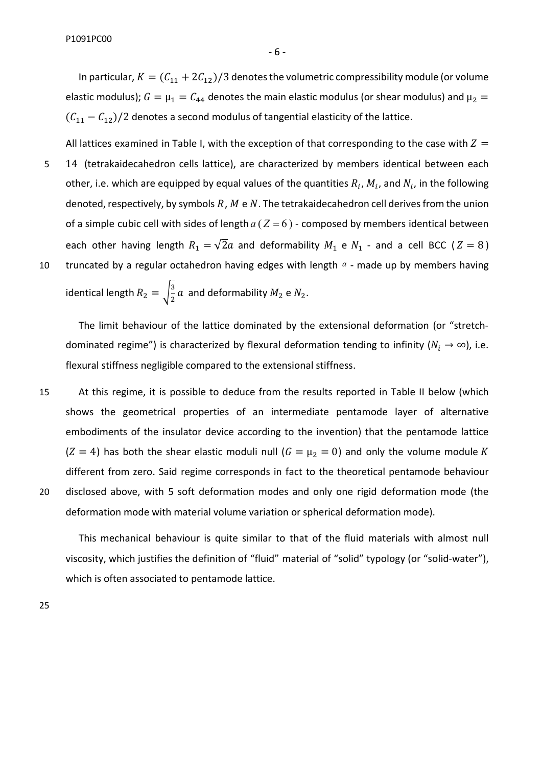In particular,  $K = (C_{11} + 2C_{12})/3$  denotes the volumetric compressibility module (or volume elastic modulus);  $G = \mu_1 = C_{44}$  denotes the main elastic modulus (or shear modulus) and  $\mu_2 =$  $(C_{11} - C_{12})/2$  denotes a second modulus of tangential elasticity of the lattice.

All lattices examined in Table I, with the exception of that corresponding to the case with  $Z =$ 5 14 (tetrakaidecahedron cells lattice), are characterized by members identical between each other, i.e. which are equipped by equal values of the quantities  $R_i$ ,  $M_i$ , and  $N_i$ , in the following denoted, respectively, by symbols  $R$ ,  $M \in N$ . The tetrakaidecahedron cell derives from the union of a simple cubic cell with sides of length  $a ( Z = 6 )$  - composed by members identical between each other having length  $R_1 = \sqrt{2}a$  and deformability  $M_1$  e  $N_1$  - and a cell BCC ( $Z = 8$ ) 10 truncated by a regular octahedron having edges with length  $a$  - made up by members having

identical length  $R_2 = \sqrt{\frac{3}{2}}$  $\frac{3}{2}a$  and deformability  $M_2$  e  $N_2$ .

The limit behaviour of the lattice dominated by the extensional deformation (or "stretchdominated regime") is characterized by flexural deformation tending to infinity ( $N_i \rightarrow \infty$ ), i.e. flexural stiffness negligible compared to the extensional stiffness.

15 At this regime, it is possible to deduce from the results reported in Table II below (which shows the geometrical properties of an intermediate pentamode layer of alternative embodiments of the insulator device according to the invention) that the pentamode lattice  $(Z = 4)$  has both the shear elastic moduli null  $(G = \mu_2 = 0)$  and only the volume module K different from zero. Said regime corresponds in fact to the theoretical pentamode behaviour 20 disclosed above, with 5 soft deformation modes and only one rigid deformation mode (the deformation mode with material volume variation or spherical deformation mode).

This mechanical behaviour is quite similar to that of the fluid materials with almost null viscosity, which justifies the definition of "fluid" material of "solid" typology (or "solid-water"), which is often associated to pentamode lattice.

25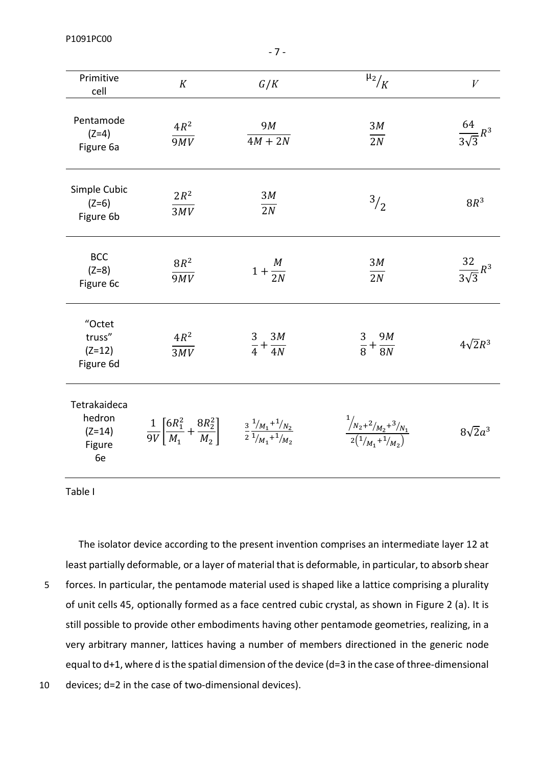P1091PC00

| Primitive<br>cell                                  | K                                                                                                                         | G/K                         | $\mu_2/$                                                                                                                                                                                                                                                                                                            | $\bar{V}$                 |
|----------------------------------------------------|---------------------------------------------------------------------------------------------------------------------------|-----------------------------|---------------------------------------------------------------------------------------------------------------------------------------------------------------------------------------------------------------------------------------------------------------------------------------------------------------------|---------------------------|
| Pentamode<br>$(Z=4)$<br>Figure 6a                  | $4R^2$<br>$\overline{9MV}$                                                                                                | 9M<br>$4M + 2N$             | 3M<br>$\overline{2N}$                                                                                                                                                                                                                                                                                               | $\frac{64}{3\sqrt{3}}R^3$ |
| Simple Cubic<br>$(Z=6)$<br>Figure 6b               | $2R^2$<br>3MV                                                                                                             | 3M<br>2N                    | $^{3}/_{2}$                                                                                                                                                                                                                                                                                                         | $8R^3$                    |
| <b>BCC</b><br>$(Z=8)$<br>Figure 6c                 | $8R^2$<br>$\overline{9MV}$                                                                                                | $1+\frac{M}{2N}$            | 3M<br>$\overline{2N}$                                                                                                                                                                                                                                                                                               | $\frac{32}{3\sqrt{3}}R^3$ |
| "Octet<br>truss"<br>$(Z=12)$<br>Figure 6d          | $4R^2$<br>$\overline{3MV}$                                                                                                | $\frac{3}{4}+\frac{3M}{4N}$ | $\frac{3}{8} + \frac{9M}{8N}$                                                                                                                                                                                                                                                                                       | $4\sqrt{2}R^3$            |
| Tetrakaideca<br>hedron<br>$(Z=14)$<br>Figure<br>6e | $\frac{1}{9V}\left[\frac{6R_1^2}{M_1}+\frac{8R_2^2}{M_2}\right]$ $\frac{3}{2}\frac{1/_{M_1}+1/_{N_2}}{1/_{M_1}+1/_{M_2}}$ |                             | $\frac{\frac{1}{N_2+2}}{\frac{2(1_{M_2}+1_{M_2})}{\frac{2(1_{M_1}+1_{M_2})}{\frac{2(1_{M_2}+1_{M_2})}{\frac{2(1_{M_1}+1_{M_2})}{\frac{2(1_{M_1}+1_{M_2})}{\frac{2(1_{M_1}+1_{M_2})}{\frac{2(1_{M_1}+1_{M_2})}{\frac{2(1_{M_1}+1_{M_2})}{\frac{2(1_{M_1}+1_{M_2})}{\frac{2(1_{M_1}+1_{M_2})}{\frac{2(1_{M_1}+1_{M_2$ | $8\sqrt{2}a^3$            |

Table I

The isolator device according to the present invention comprises an intermediate layer 12 at least partially deformable, or a layer of material that is deformable, in particular, to absorb shear

5 forces. In particular, the pentamode material used is shaped like a lattice comprising a plurality of unit cells 45, optionally formed as a face centred cubic crystal, as shown in Figure 2 (a). It is still possible to provide other embodiments having other pentamode geometries, realizing, in a very arbitrary manner, lattices having a number of members directioned in the generic node equal to d+1, where d is the spatial dimension of the device (d=3 in the case of three-dimensional

10 devices; d=2 in the case of two-dimensional devices).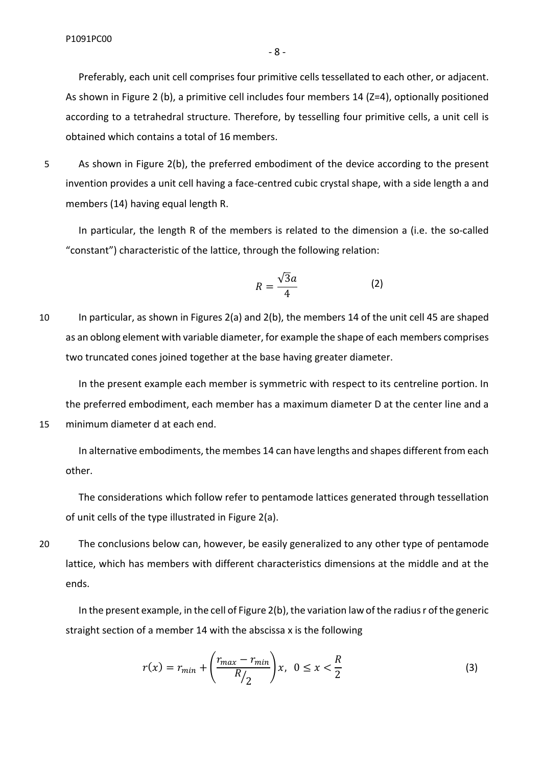Preferably, each unit cell comprises four primitive cells tessellated to each other, or adjacent. As shown in Figure 2 (b), a primitive cell includes four members 14 (Z=4), optionally positioned according to a tetrahedral structure. Therefore, by tesselling four primitive cells, a unit cell is obtained which contains a total of 16 members.

5 As shown in Figure 2(b), the preferred embodiment of the device according to the present invention provides a unit cell having a face-centred cubic crystal shape, with a side length a and members (14) having equal length R.

In particular, the length R of the members is related to the dimension a (i.e. the so-called "constant") characteristic of the lattice, through the following relation:

$$
R = \frac{\sqrt{3}a}{4} \tag{2}
$$

10 In particular, as shown in Figures 2(a) and 2(b), the members 14 of the unit cell 45 are shaped as an oblong element with variable diameter, for example the shape of each members comprises two truncated cones joined together at the base having greater diameter.

In the present example each member is symmetric with respect to its centreline portion. In the preferred embodiment, each member has a maximum diameter D at the center line and a 15 minimum diameter d at each end.

In alternative embodiments, the membes 14 can have lengths and shapes different from each other.

The considerations which follow refer to pentamode lattices generated through tessellation of unit cells of the type illustrated in Figure 2(a).

20 The conclusions below can, however, be easily generalized to any other type of pentamode lattice, which has members with different characteristics dimensions at the middle and at the ends.

In the present example, in the cell of Figure 2(b), the variation law of the radius r of the generic straight section of a member 14 with the abscissa x is the following

$$
r(x) = r_{min} + \left(\frac{r_{max} - r_{min}}{R/2}\right)x, \ \ 0 \le x < \frac{R}{2} \tag{3}
$$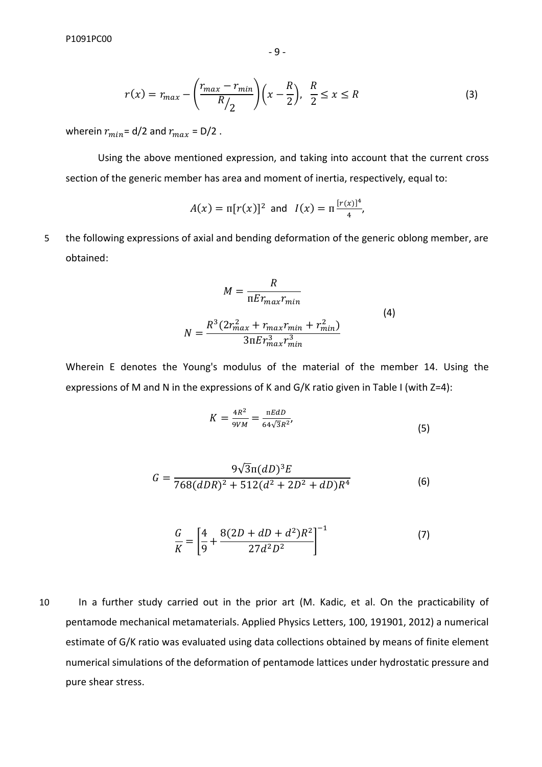$$
\textbf{-9-}
$$

$$
r(x) = r_{max} - \left(\frac{r_{max} - r_{min}}{R/2}\right) \left(x - \frac{R}{2}\right), \ \frac{R}{2} \le x \le R \tag{3}
$$

wherein  $r_{min}$  = d/2 and  $r_{max}$  = D/2.

Using the above mentioned expression, and taking into account that the current cross section of the generic member has area and moment of inertia, respectively, equal to:

$$
A(x) = \pi [r(x)]^2 \text{ and } I(x) = \pi \frac{[r(x)]^4}{4},
$$

5 the following expressions of axial and bending deformation of the generic oblong member, are obtained:

$$
M = \frac{R}{\pi E r_{max} r_{min}}
$$
  
\n
$$
N = \frac{R^3 (2r_{max}^2 + r_{max} r_{min} + r_{min}^2)}{3\pi E r_{max}^3 r_{min}^3}
$$
\n(4)

Wherein E denotes the Young's modulus of the material of the member 14. Using the expressions of M and N in the expressions of K and G/K ratio given in Table I (with Z=4):

$$
K = \frac{4R^2}{9VM} = \frac{\text{mEdD}}{64\sqrt{3}R^2},\tag{5}
$$

$$
G = \frac{9\sqrt{3}\pi (dD)^3 E}{768(dDR)^2 + 512(d^2 + 2D^2 + dD)R^4}
$$
 (6)

$$
\frac{G}{K} = \left[\frac{4}{9} + \frac{8(2D + dD + d^2)R^2}{27d^2D^2}\right]^{-1}
$$
\n(7)

10 In a further study carried out in the prior art (M. Kadic, et al. On the practicability of pentamode mechanical metamaterials. Applied Physics Letters, 100, 191901, 2012) a numerical estimate of G/K ratio was evaluated using data collections obtained by means of finite element numerical simulations of the deformation of pentamode lattices under hydrostatic pressure and pure shear stress.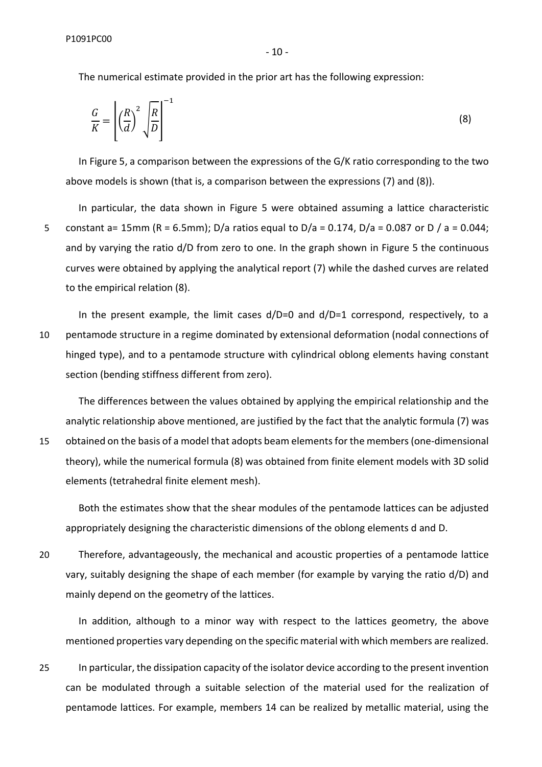- 10 -

The numerical estimate provided in the prior art has the following expression:

$$
\frac{G}{K} = \left[ \left( \frac{R}{d} \right)^2 \sqrt{\frac{R}{D}} \right]^{-1} \tag{8}
$$

In Figure 5, a comparison between the expressions of the G/K ratio corresponding to the two above models is shown (that is, a comparison between the expressions (7) and (8)).

In particular, the data shown in Figure 5 were obtained assuming a lattice characteristic 5 constant a= 15mm (R = 6.5mm); D/a ratios equal to D/a = 0.174, D/a = 0.087 or D / a = 0.044; and by varying the ratio d/D from zero to one. In the graph shown in Figure 5 the continuous curves were obtained by applying the analytical report (7) while the dashed curves are related to the empirical relation (8).

In the present example, the limit cases  $d/D=0$  and  $d/D=1$  correspond, respectively, to a 10 pentamode structure in a regime dominated by extensional deformation (nodal connections of hinged type), and to a pentamode structure with cylindrical oblong elements having constant section (bending stiffness different from zero).

The differences between the values obtained by applying the empirical relationship and the analytic relationship above mentioned, are justified by the fact that the analytic formula (7) was 15 obtained on the basis of a model that adopts beam elements for the members(one-dimensional theory), while the numerical formula (8) was obtained from finite element models with 3D solid elements (tetrahedral finite element mesh).

Both the estimates show that the shear modules of the pentamode lattices can be adjusted appropriately designing the characteristic dimensions of the oblong elements d and D.

20 Therefore, advantageously, the mechanical and acoustic properties of a pentamode lattice vary, suitably designing the shape of each member (for example by varying the ratio d/D) and mainly depend on the geometry of the lattices.

In addition, although to a minor way with respect to the lattices geometry, the above mentioned properties vary depending on the specific material with which members are realized.

25 In particular, the dissipation capacity of the isolator device according to the present invention can be modulated through a suitable selection of the material used for the realization of pentamode lattices. For example, members 14 can be realized by metallic material, using the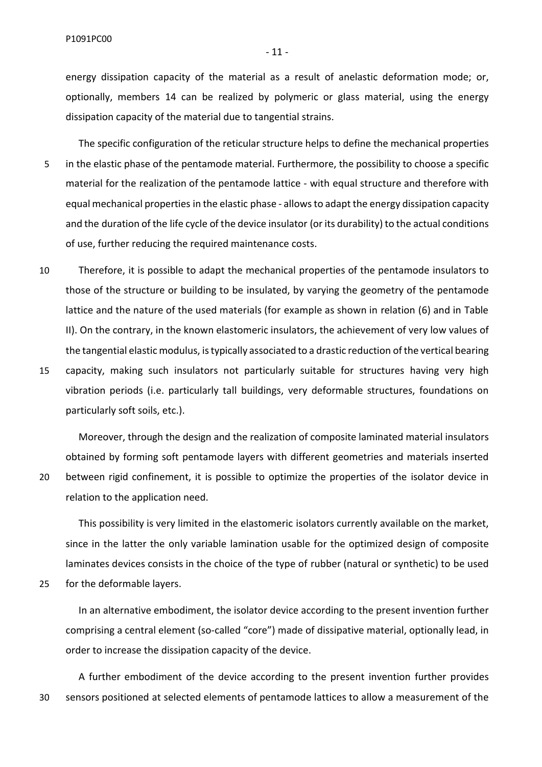energy dissipation capacity of the material as a result of anelastic deformation mode; or, optionally, members 14 can be realized by polymeric or glass material, using the energy dissipation capacity of the material due to tangential strains.

The specific configuration of the reticular structure helps to define the mechanical properties 5 in the elastic phase of the pentamode material. Furthermore, the possibility to choose a specific material for the realization of the pentamode lattice - with equal structure and therefore with equal mechanical properties in the elastic phase - allows to adapt the energy dissipation capacity and the duration of the life cycle of the device insulator (or its durability) to the actual conditions of use, further reducing the required maintenance costs.

10 Therefore, it is possible to adapt the mechanical properties of the pentamode insulators to those of the structure or building to be insulated, by varying the geometry of the pentamode lattice and the nature of the used materials (for example as shown in relation (6) and in Table II). On the contrary, in the known elastomeric insulators, the achievement of very low values of the tangential elastic modulus, is typically associated to a drastic reduction of the vertical bearing 15 capacity, making such insulators not particularly suitable for structures having very high vibration periods (i.e. particularly tall buildings, very deformable structures, foundations on particularly soft soils, etc.).

Moreover, through the design and the realization of composite laminated material insulators obtained by forming soft pentamode layers with different geometries and materials inserted 20 between rigid confinement, it is possible to optimize the properties of the isolator device in relation to the application need.

This possibility is very limited in the elastomeric isolators currently available on the market, since in the latter the only variable lamination usable for the optimized design of composite laminates devices consists in the choice of the type of rubber (natural or synthetic) to be used 25 for the deformable layers.

In an alternative embodiment, the isolator device according to the present invention further comprising a central element (so-called "core") made of dissipative material, optionally lead, in order to increase the dissipation capacity of the device.

A further embodiment of the device according to the present invention further provides 30 sensors positioned at selected elements of pentamode lattices to allow a measurement of the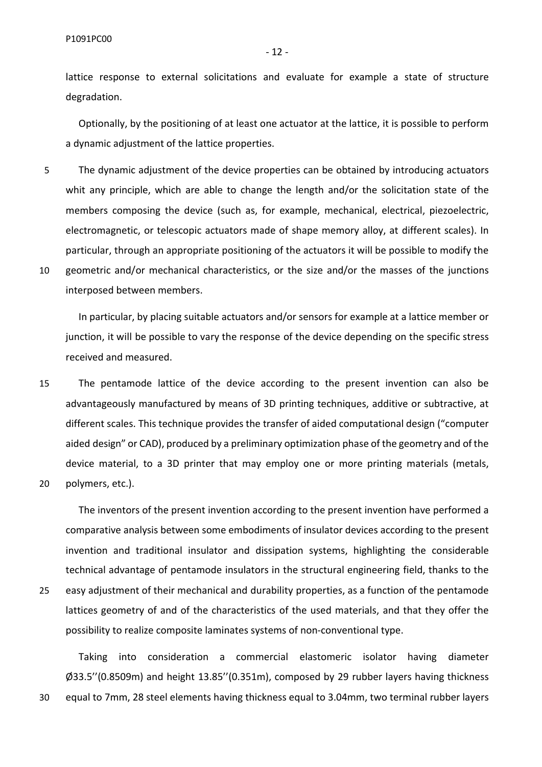lattice response to external solicitations and evaluate for example a state of structure degradation.

Optionally, by the positioning of at least one actuator at the lattice, it is possible to perform a dynamic adjustment of the lattice properties.

5 The dynamic adjustment of the device properties can be obtained by introducing actuators whit any principle, which are able to change the length and/or the solicitation state of the members composing the device (such as, for example, mechanical, electrical, piezoelectric, electromagnetic, or telescopic actuators made of shape memory alloy, at different scales). In particular, through an appropriate positioning of the actuators it will be possible to modify the 10 geometric and/or mechanical characteristics, or the size and/or the masses of the junctions interposed between members.

In particular, by placing suitable actuators and/or sensors for example at a lattice member or junction, it will be possible to vary the response of the device depending on the specific stress received and measured.

15 The pentamode lattice of the device according to the present invention can also be advantageously manufactured by means of 3D printing techniques, additive or subtractive, at different scales. This technique provides the transfer of aided computational design ("computer aided design" or CAD), produced by a preliminary optimization phase of the geometry and of the device material, to a 3D printer that may employ one or more printing materials (metals, 20 polymers, etc.).

The inventors of the present invention according to the present invention have performed a comparative analysis between some embodiments of insulator devices according to the present invention and traditional insulator and dissipation systems, highlighting the considerable technical advantage of pentamode insulators in the structural engineering field, thanks to the 25 easy adjustment of their mechanical and durability properties, as a function of the pentamode lattices geometry of and of the characteristics of the used materials, and that they offer the possibility to realize composite laminates systems of non-conventional type.

Taking into consideration a commercial elastomeric isolator having diameter Ø33.5''(0.8509m) and height 13.85''(0.351m), composed by 29 rubber layers having thickness 30 equal to 7mm, 28 steel elements having thickness equal to 3.04mm, two terminal rubber layers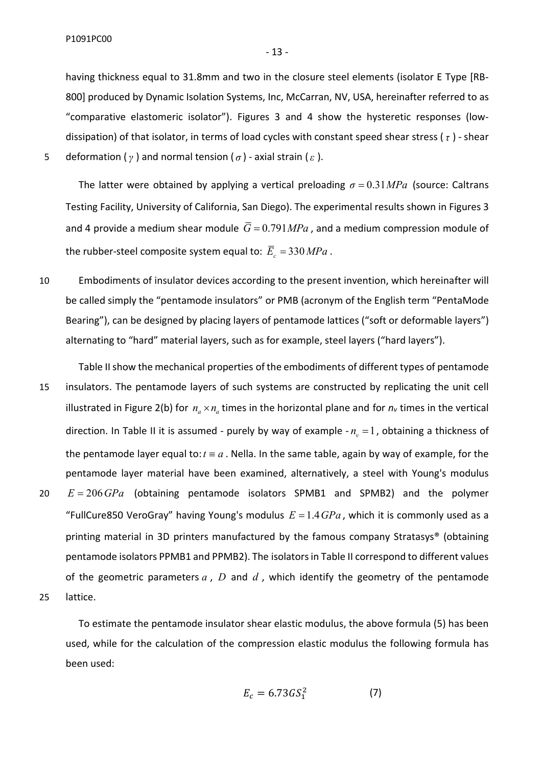- 13 -

having thickness equal to 31.8mm and two in the closure steel elements (isolator E Type [RB-800] produced by Dynamic Isolation Systems, Inc, McCarran, NV, USA, hereinafter referred to as "comparative elastomeric isolator"). Figures 3 and 4 show the hysteretic responses (lowdissipation) of that isolator, in terms of load cycles with constant speed shear stress ( *τ* ) - shear 5 deformation (*γ* ) and normal tension ( *σ* ) - axial strain (*ε* ).

The latter were obtained by applying a vertical preloading  $\sigma = 0.31 MPa$  (source: Caltrans Testing Facility, University of California, San Diego). The experimental results shown in Figures 3 and 4 provide a medium shear module  $\overline{G} = 0.791 MPa$ , and a medium compression module of the rubber-steel composite system equal to:  $\overline{E}_z = 330 MPa$ .

- 10 Embodiments of insulator devices according to the present invention, which hereinafter will be called simply the "pentamode insulators" or PMB (acronym of the English term "PentaMode Bearing"), can be designed by placing layers of pentamode lattices ("soft or deformable layers") alternating to "hard" material layers, such as for example, steel layers ("hard layers").
- Table II show the mechanical properties of the embodiments of different types of pentamode 15 insulators. The pentamode layers of such systems are constructed by replicating the unit cell illustrated in Figure 2(b) for  $n_a \times n_a$  times in the horizontal plane and for  $n_v$  times in the vertical direction. In Table II it is assumed - purely by way of example  $-n_v = 1$ , obtaining a thickness of the pentamode layer equal to:  $t \equiv a$ . Nella. In the same table, again by way of example, for the pentamode layer material have been examined, alternatively, a steel with Young's modulus 20 *E G* 206 *Pa* (obtaining pentamode isolators SPMB1 and SPMB2) and the polymer "FullCure850 VeroGray" having Young's modulus  $E = 1.4 GPa$ , which it is commonly used as a printing material in 3D printers manufactured by the famous company Stratasys® (obtaining pentamode isolators PPMB1 and PPMB2). The isolators in Table II correspond to different values of the geometric parameters *a* , *D* and *d* , which identify the geometry of the pentamode 25 lattice.

To estimate the pentamode insulator shear elastic modulus, the above formula (5) has been used, while for the calculation of the compression elastic modulus the following formula has been used:

$$
E_c = 6.73GS_1^2 \tag{7}
$$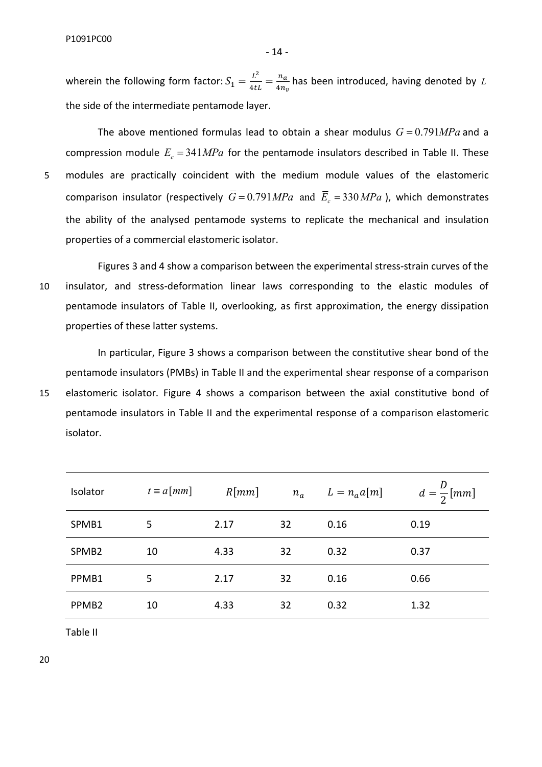P1091PC00

wherein the following form factor:  $S_1 = \frac{L^2}{4ti}$  $\frac{L^2}{4tL} = \frac{n_a}{4n_a}$  $4n_v$ has been introduced, having denoted by *L* the side of the intermediate pentamode layer.

- 14 -

The above mentioned formulas lead to obtain a shear modulus  $G = 0.791 MPa$  and a compression module  $E_c = 341 MPa$  for the pentamode insulators described in Table II. These 5 modules are practically coincident with the medium module values of the elastomeric comparison insulator (respectively  $\overline{G} = 0.791 MPa$  and  $\overline{E}_c = 330 MPa$ ), which demonstrates the ability of the analysed pentamode systems to replicate the mechanical and insulation properties of a commercial elastomeric isolator.

Figures 3 and 4 show a comparison between the experimental stress-strain curves of the 10 insulator, and stress-deformation linear laws corresponding to the elastic modules of pentamode insulators of Table II, overlooking, as first approximation, the energy dissipation properties of these latter systems.

In particular, Figure 3 shows a comparison between the constitutive shear bond of the pentamode insulators (PMBs) in Table II and the experimental shear response of a comparison 15 elastomeric isolator. Figure 4 shows a comparison between the axial constitutive bond of pentamode insulators in Table II and the experimental response of a comparison elastomeric isolator.

| Isolator          | $t \equiv a \lfloor mm \rfloor$ | R[mm] | $n_a$ | $L = n_a a[m]$ | $d=\frac{D}{2}[mm]$ |
|-------------------|---------------------------------|-------|-------|----------------|---------------------|
| SPMB1             | 5                               | 2.17  | 32    | 0.16           | 0.19                |
| SPMB <sub>2</sub> | 10                              | 4.33  | 32    | 0.32           | 0.37                |
| PPMB1             | 5                               | 2.17  | 32    | 0.16           | 0.66                |
| PPMB <sub>2</sub> | 10                              | 4.33  | 32    | 0.32           | 1.32                |

Table II

20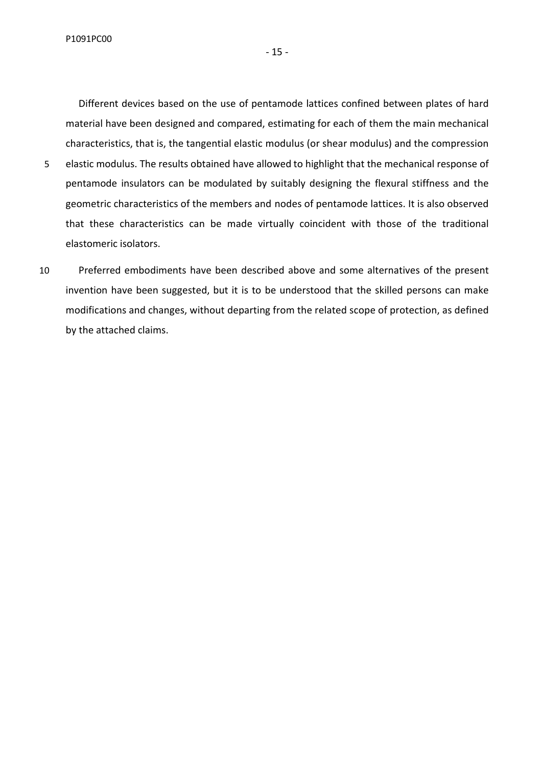Different devices based on the use of pentamode lattices confined between plates of hard material have been designed and compared, estimating for each of them the main mechanical characteristics, that is, the tangential elastic modulus (or shear modulus) and the compression 5 elastic modulus. The results obtained have allowed to highlight that the mechanical response of pentamode insulators can be modulated by suitably designing the flexural stiffness and the geometric characteristics of the members and nodes of pentamode lattices. It is also observed

- that these characteristics can be made virtually coincident with those of the traditional elastomeric isolators.
- 10 Preferred embodiments have been described above and some alternatives of the present invention have been suggested, but it is to be understood that the skilled persons can make modifications and changes, without departing from the related scope of protection, as defined by the attached claims.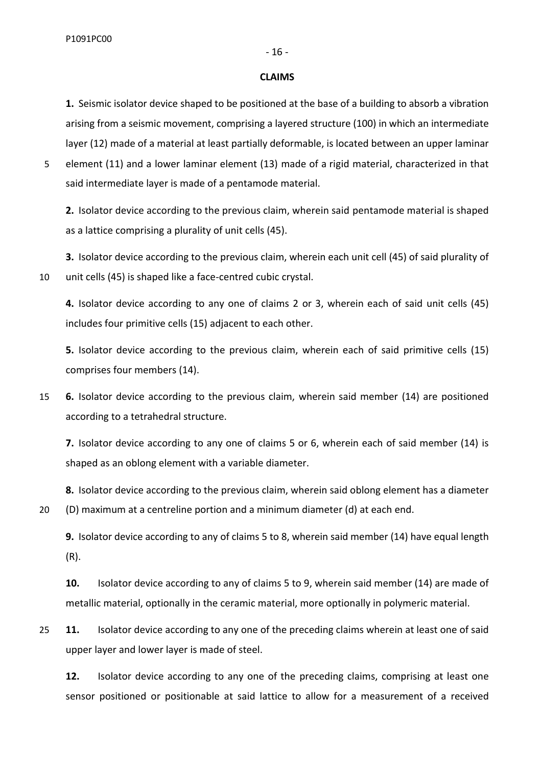#### **CLAIMS**

**1.** Seismic isolator device shaped to be positioned at the base of a building to absorb a vibration arising from a seismic movement, comprising a layered structure (100) in which an intermediate layer (12) made of a material at least partially deformable, is located between an upper laminar

5 element (11) and a lower laminar element (13) made of a rigid material, characterized in that said intermediate layer is made of a pentamode material.

**2.** Isolator device according to the previous claim, wherein said pentamode material is shaped as a lattice comprising a plurality of unit cells (45).

**3.** Isolator device according to the previous claim, wherein each unit cell (45) of said plurality of 10 unit cells (45) is shaped like a face-centred cubic crystal.

**4.** Isolator device according to any one of claims 2 or 3, wherein each of said unit cells (45) includes four primitive cells (15) adjacent to each other.

**5.** Isolator device according to the previous claim, wherein each of said primitive cells (15) comprises four members (14).

15 **6.** Isolator device according to the previous claim, wherein said member (14) are positioned according to a tetrahedral structure.

**7.** Isolator device according to any one of claims 5 or 6, wherein each of said member (14) is shaped as an oblong element with a variable diameter.

**8.** Isolator device according to the previous claim, wherein said oblong element has a diameter 20 (D) maximum at a centreline portion and a minimum diameter (d) at each end.

**9.** Isolator device according to any of claims 5 to 8, wherein said member (14) have equal length (R).

**10.** Isolator device according to any of claims 5 to 9, wherein said member (14) are made of metallic material, optionally in the ceramic material, more optionally in polymeric material.

25 **11.** Isolator device according to any one of the preceding claims wherein at least one of said upper layer and lower layer is made of steel.

**12.** Isolator device according to any one of the preceding claims, comprising at least one sensor positioned or positionable at said lattice to allow for a measurement of a received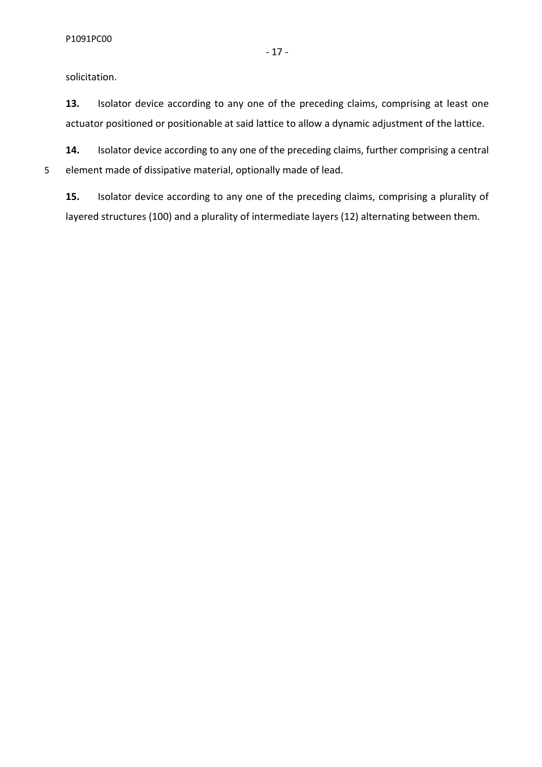solicitation.

**13.** Isolator device according to any one of the preceding claims, comprising at least one actuator positioned or positionable at said lattice to allow a dynamic adjustment of the lattice.

**14.** Isolator device according to any one of the preceding claims, further comprising a central 5 element made of dissipative material, optionally made of lead.

**15.** Isolator device according to any one of the preceding claims, comprising a plurality of layered structures (100) and a plurality of intermediate layers (12) alternating between them.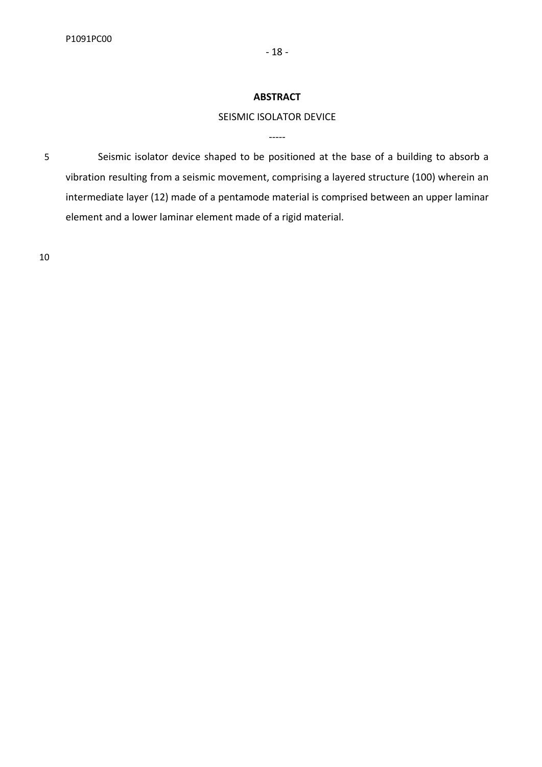## **ABSTRACT**

# SEISMIC ISOLATOR DEVICE

-----

5 Seismic isolator device shaped to be positioned at the base of a building to absorb a vibration resulting from a seismic movement, comprising a layered structure (100) wherein an intermediate layer (12) made of a pentamode material is comprised between an upper laminar element and a lower laminar element made of a rigid material.

10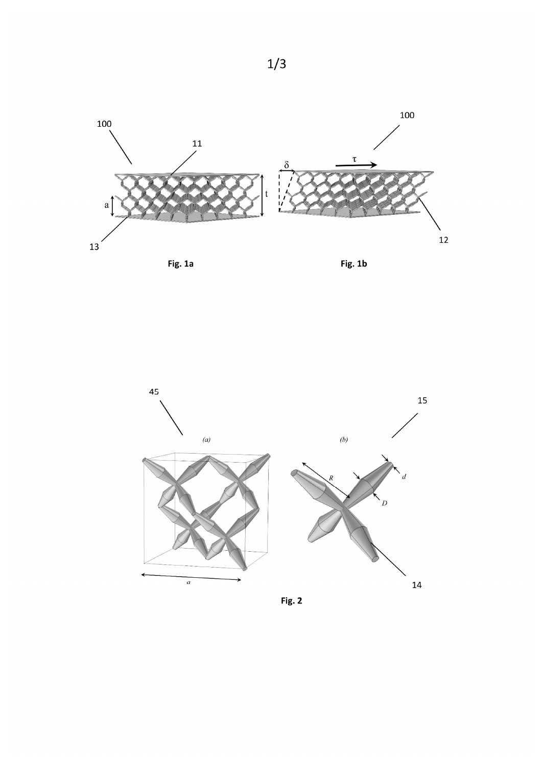







Fig. 2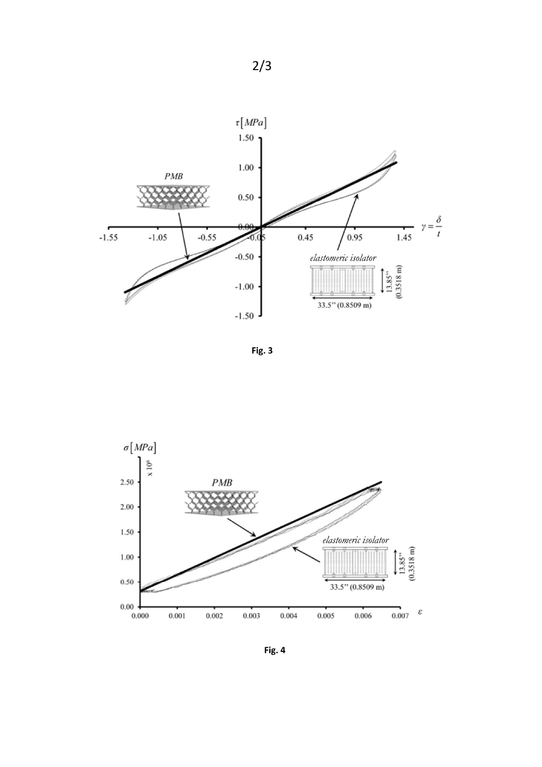

Fig. 3



Fig. 4